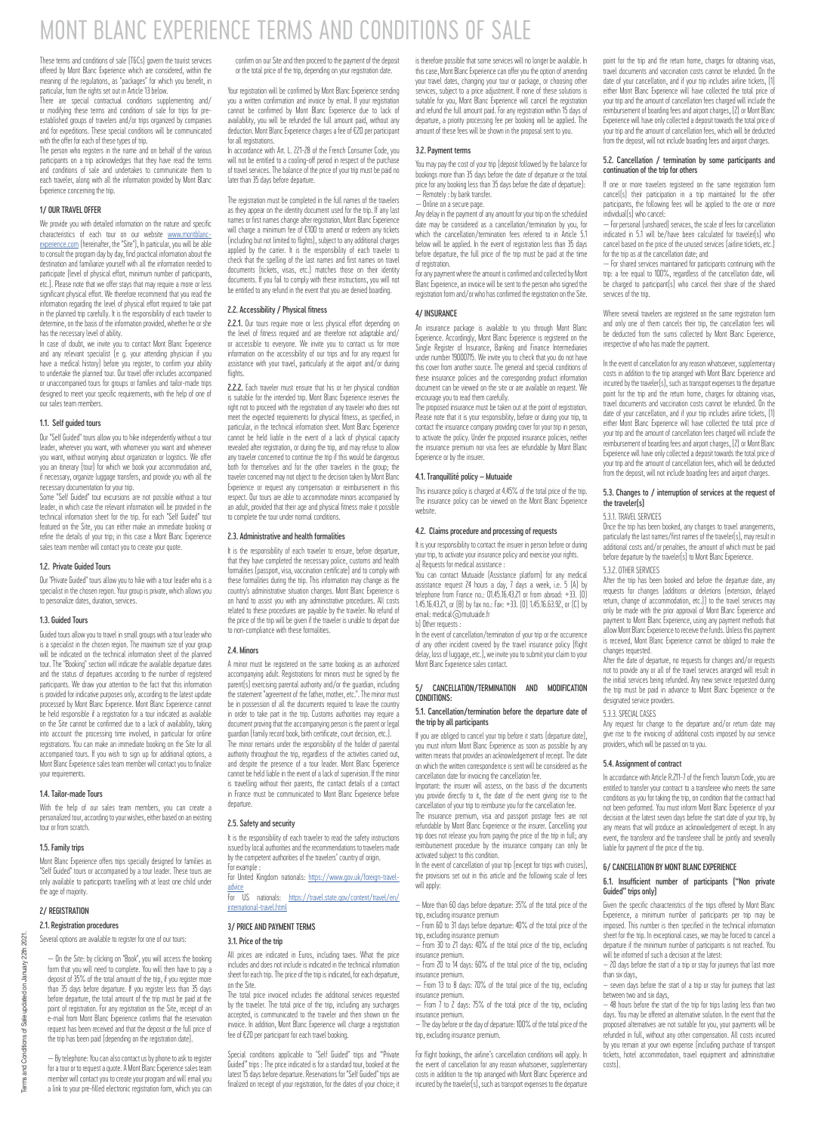# MONT BLANC EXPERIENCE TERMS AND CONDITIONS OF SALE

These terms and conditions of sale [T&Cs] govern the tourist services offered by Mont Blanc Experience which are considered, within the meaning of the regulations, as "packages" for which you benefit, in particular, from the rights set out in Article 13 below.

There are special contractual conditions supplementing and/ or modifying these terms and conditions of sale for trips for preestablished groups of travelers and/or trips organized by companies and for expeditions. These special conditions will be communicated with the offer for each of these types of trip.

The person who registers in the name and on behalf of the various participants on a trip acknowledges that they have read the terms and conditions of sale and undertakes to communicate them to each traveler, along with all the information provided by Mont Blanc Experience concerning the trip.

# 1/ OUR TRAVEL OFFER

We provide you with detailed information on the nature and specific characteristics of each tour on our website [www.montblanc](www.montblanc-experience.com)[experience.com](www.montblanc-experience.com) (hereinafter, the "Site"), In particular, you will be able to consult the program day by day, find practical information about the destination and familiarize yourself with all the information needed to participate (level of physical effort, minimum number of participants, etc.). Please note that we offer stays that may require a more or less significant physical effort. We therefore recommend that you read the information regarding the level of physical effort required to take part in the planned trip carefully. It is the responsibility of each traveler to determine on the basis of the information provided substantially of each traveler nine, on the basis of the information provided, whether he or she has the necessary level of ability.

In case of doubt, we invite you to contact Mont Blanc Experience and any relevant specialist (e g. your attending physician if you have a medical history) before you register, to confirm your ability to undertake the planned tour. Our travel offer includes accompanied or unaccompanied tours for groups or families and tailor-made trips designed to meet your specific requirements, with the help of one of our sales team members.

# 1.1. Self guided tours

Our "Self Guided" tours allow you to hike independently without a tour leader, wherever you want, with whomever you want and whenever you want, without worrying about organization or logistics. We offer you an itinerary (tour) for which we book your accommodation and, if necessary, organize luggage transfers, and provide you with all the necessary documentation for your trip.

Some "Self Guided" tour excursions are not possible without a tour leader, in which case the relevant information will be provided in the technical information sheet for the trip. For each "Self Guided" tour featured on the Site, you can either make an immediate booking or refine the details of your trip; in this case a Mont Blanc Experience sales team member will contact you to create your quote.

#### 1.2. Private Guided Tours

Our "Private Guided" tours allow you to hike with a tour leader who is a specialist in the chosen region. Your group is private, which allows you to personalize dates, duration, services.

# 1.3. Guided Tours

Guided tours allow you to travel in small groups with a tour leader who is a specialist in the chosen region. The maximum size of your group will be indicated on the technical information sheet of the planned tour. The "Booking" section will indicate the available departure dates and the status of departures according to the number of registered participants. We draw your attention to the fact that this information is provided for indicative purposes only, according to the latest update processed by Mont Blanc Experience. Mont Blanc Experience cannot be held responsible if a registration for a tour indicated as available on the Site cannot be confirmed due to a lack of availability, taking into account the processing time involved, in particular for online registrations. You can make an immediate booking on the Site for all accompanied tours. If you wish to sign up for additional options, a Mont Blanc Experience sales team member will contact you to finalize your require

## 1.4. Tailor-made Tours

With the help of our sales team members, you can create a personalized tour, according to your wishes, either based on an existing tour or from scratch.

#### 1.5. Family trips

Mont Blanc Experience offers trips specially designed for families as "Self Guided" tours or accompanied by a tour leader. These tours are only available to participants travelling with at least one child under the age of majority.

# 2/ REGISTRATION

2.1. Registration procedures

Several options are available to register for one of our tours:

— On the Site: by clicking on "Book", you will access the booking form that you will need to complete. You will then have to pay a deposit of 35% of the total amount of the trip, if you register more than 35 days before departure. If you register less than 35 days before departure, the total amount of the trip must be paid at the point of registration. For any registration on the Site, receipt of an e-mail from Mont Blanc Experience confirms that the reservation request has been received and that the deposit or the full price of the trip has been paid (depending on the registration date).

— By telephone: You can also contact us by phone to ask to register for a tour or to request a quote. A Mont Blanc Experience sales team member will contact you to create your program and will email you a link to your pre-filled electronic registration form, which you can

confirm on our Site and then proceed to the payment of the deposit or the total price of the trip, depending on your registration date.

Your registration will be confirmed by Mont Blanc Experience sending you a written confirmation and invoice by email. If your registration cannot be confirmed by Mont Blanc Experience due to lack of availability, you will be refunded the full amount paid, without any deduction. Mont Blanc Experience charges a fee of €20 per participant for all registrations.

In accordance with Art. L. 221-28 of the French Consumer Code, you will not be entitled to a cooling-off period in respect of the purchase of travel services. The balance of the price of your trip must be paid no later than 35 days before departure.

The registration must be completed in the full names of the travelers as they appear on the identity document used for the trip. If any last names or first names change after registration, Mont Blanc Experience will charge a minimum fee of €100 to amend or redeem any tickets (including but not limited to flights), subject to any additional charges applied by the carrier. It is the responsibility of each traveler to check that the spelling of the last names and first names on travel documents (tickets, visas, etc.) matches those on their identity documents. If you fail to comply with these instructions, you will not be entitled to any refund in the event that you are denied boarding.

### 2.2. Accessibility / Physical fitness

2.2.1. Our tours require more or less physical effort depending on the level of fitness required and are therefore not adaptable and/ or accessible to everyone. We invite you to contact us for more information on the accessibility of our trips and for any request for assistance with your travel, particularly at the airport and/or during flights

2.2.2. Each traveler must ensure that his or her physical condition E.E.C. Each davecer must chistie that his of her physical condition right not to proceed with the registration of any traveler who does not meet the expected requirements for physical fitness, as specified, in particular, in the technical information sheet. Mont Blanc Experience cannot be held liable in the event of a lack of physical capacity revealed after registration, or during the trip, and may refuse to allow any traveler concerned to continue the trip if this would be dangerous both for themselves and for the other travelers in the group; the traveler concerned may not object to the decision taken by Mont Blanc Experience or request any compensation or reimbursement in this respect. Our tours are able to accommodate minors accompanied by an adult, provided that their age and physical fitness make it possible to complete the tour under normal conditions.

# 2.3. Administrative and health formalities

It is the responsibility of each traveler to ensure, before departure, that they have completed the necessary police, customs and health formalities (passport, visa, vaccination certificate) and to comply with these formalities during the trip. This information may change as the country's administrative situation changes. Mont Blanc Experience is on hand to assist you with any administrative procedures. All costs related to these procedures are payable by the traveler. No refund of the price of the trip will be given if the traveler is unable to depart due to non-compliance with these formalities.

#### 2.4. Minors

A minor must be registered on the same booking as an authorized accompanying adult. Registrations for minors must be signed by the parent(s) exercising parental authority and/or the guardian, including the statement "agreement of the father, mother, etc.". The minor must be in possession of all the documents required to leave the country in order to take part in the trip. Customs authorities may require a document proving that the accompanying person is the parent or legal guardian (family record book, birth certificate, court decision, etc.). The minor remains under the responsibility of the holder of parental authority throughout the trip, regardless of the activities carried out. and despite the presence of a tour leader. Mont Blanc Experience cannot be held liable in the event of a lack of supervision. If the minor is travelling without their parents, the contact details of a contact in France must be communicated to Mont Blanc Experience before departure.

# 2.5. Safety and security

It is the responsibility of each traveler to read the safety instructions issued by local authorities and the recommendations to travelers made by the competent authorities of the travelers' country of origin.

For example : For United Kingdom nationals: [https://www.gov.uk/foreign-travel](https://www.gov.uk/foreign-travel-advice
)[advice](https://www.gov.uk/foreign-travel-advice
)

For US nationals: [https://travel.state.gov/content/travel/en/](www.montblanc-experience.com) [international-travel.html](www.montblanc-experience.com)

3/ PRICE AND PAYMENT TERMS

# 3.1. Price of the trip

All prices are indicated in Euros, including taxes. What the price includes and does not include is indicated in the technical information sheet for each trip. The price of the trip is indicated, for each departure, on the Site.

The total price invoiced includes the additional services requested by the traveler. The total price of the trip, including any surcharges accepted, is communicated to the traveler and then shown on the invoice. In addition, Mont Blanc Experience will charge a registration fee of €20 per participant for each travel booking.

Special conditions applicable to "Self Guided" trips and "Private Guided" trips : The price indicated is for a standard tour, booked at the latest 15 days before departure. Reservations for "Self Guided" trips are finalized on receipt of your registration, for the dates of your choice; it is therefore possible that some services will no longer be available. In this case, Mont Blanc Experience can offer you the option of amending your travel dates, changing your tour or package, or choosing other services, subject to a price adjustment. If none of these solutions is suitable for you. Mont Blanc Experience will cancel the registration and refund the full amount paid. For any registration within 15 days of departure, a priority processing fee per booking will be applied. The amount of these fees will be shown in the proposal sent to you.

#### 3.2. Payment terms

You may pay the cost of your trip (deposit followed by the balance for bookings more than 35 days before the date of departure or the total price for any booking less than 35 days before the date of departure): — Remotely : by bank transfer.

— Online on a secure page.

Any delay in the payment of any amount for your trip on the scheduled date may be considered as a cancellation/termination by you, for which the cancellation/termination fees referred to in Article 5.1 below will be applied. In the event of registration less than 35 days before departure, the full price of the trip must be paid at the time of registration.

For any payment where the amount is confirmed and collected by Mont Blanc Experience, an invoice will be sent to the person who signed the registration form and/or who has confirmed the registration on the Site.

#### 4/ INSURANCE

An insurance package is available to you through Mont Blanc Experience. Accordingly, Mont Blanc Experience is registered on the Single Register of Insurance, Banking and Finance Intermediaries under number 19000715. We invite you to check that you do not have this cover from another source. The general and special conditions of these insurance policies and the corresponding product information document can be viewed on the site or are available on request. We encourage you to read them carefully.

The proposed insurance must be taken out at the point of registration. Please note that it is your responsibility, before or during your trip, to contact the insurance company providing cover for your trip in person, to activate the policy. Under the proposed insurance policies, neither the insurance premium nor visa fees are refundable by Mont Blanc Experience or by the insurer.

# 4.1. Tranquillité policy – Mutuaide

This insurance policy is charged at 4.45% of the total price of the trip. The insurance policy can be viewed on the Mont Blanc Experience website.

#### 4.2. Claims procedure and processing of requests

It is your responsibility to contact the insurer in person before or during your trip, to activate your insurance policy and exercise your rights. a) Requests for medical assistance :

You can contact Mutuaide (Assistance platform) for any medical assistance request 24 hours a day, 7 days a week, i.e. 5 (A) by telephone from France no.: 01.45.16.43.21 or from abroad: +33. (0) 1.45.16.43.21, or (B) by fax no.: Fax: +33. (0) 1.45.16.63.92, or (C) by email: medical@mutuaide.fr b) Other requests :

In the event of cancellation/termination of your trip or the occurrence of any other incident covered by the travel insurance policy (flight delay, loss of luggage, etc.), we invite you to submit your claim to your Mont Blanc Experience sales contact.

#### 5/ CANCELLATION/TERMINATION AND MODIFICATION CONDITIONS:

#### 5.1. Cancellation/termination before the departure date of the trip by all participants

If you are obliged to cancel your trip before it starts (departure date), you must inform Mont Blanc Experience as soon as possible by any written means that provides an acknowledgement of receipt. The date on which the written correspondence is sent will be considered as the cancellation date for invoicing the cancellation fee.

Important: the insurer will assess, on the basis of the documents you provide directly to it, the date of the event giving rise to the cancellation of your trip to reimburse you for the cancellation fee.

the insurance premium, visa and passport postage fees are not refundable by Mont Blanc Experience or the insurer. Cancelling your trip does not release you from paying the price of the trip in full; any reimbursement procedure by the insurance company can only be activated subject to this condition.

In the event of cancellation of your trip (except for trips with cruises), the provisions set out in this article and the following scale of fees will apply:

– More than 60 days before departure: 35% of the total price of the trip, excluding insurance premium

– From 60 to 31 days before departure: 40% of the total price of the trin, excluding insurance premium

– From 30 to 21 days: 40% of the total price of the trip, excluding

insurance premium. – From 20 to 14 days: 60% of the total price of the trip, excluding

insurance premium. — From 13 to 8 days: 70% of the total price of the trip, excluding insurance premium.

— From 7 to 2 days: 75% of the total price of the trip, excluding

insurance premium. – The day before or the day of departure: 100% of the total price of the trip, excluding insurance premium.

For flight bookings, the airline's cancellation conditions will apply. In the event of cancellation for any reason whatsoever, supplementary costs in addition to the trip arranged with Mont Blanc Experience and incurred by the traveler(s), such as transport expenses to the departure

point for the trip and the return home, charges for obtaining visas, travel documents and vaccination costs cannot be refunded. On the date of your cancellation, and if your trip includes airline tickets, [1] other Mont Blanc Evogionce will baye collected the total price of enter and there are not all the month of the total price of the Blanc Experience will have collected the total price of your trip and the amount of cancellation fees charged will include the reimbursement of boarding fees and airport charges, (2) or Mont Blanc Experience will have only collected a deposit towards the total price of your trip and the amount of cancellation fees, which will be deducted from the deposit, will not include boarding fees and airport charges.

#### 5.2. Cancellation / termination by some participants and continuation of the trip for others

If one or more travelers registered on the same registration form cancel(s) their participation in a trip maintained for the other participants, the following fees will be applied to the one or more individual(s) who cancel:

— For personal (unshared) services, the scale of fees for cancellation indicated in 5.1 will be/have been calculated for traveler(s) who cancel based on the price of the unused services (airline tickets, etc.) for the trip as at the cancellation date; and

shared services maintained for participants continuing with the trip: a fee equal to 100%, regardless of the cancellation date, will be charged to participant(s) who cancel their share of the shared services of the trip.

Where several travelers are registered on the same registration form and only one of them cancels their trip, the cancellation fees will be deducted from the sums collected by Mont Blanc Experience, irrespective of who has made the payment.

In the event of cancellation for any reason whatsoever, supplementary costs in addition to the trip arranged with Mont Blanc Experience and incurred by the traveler(s), such as transport expenses to the departure point for the trip and the return home, charges for obtaining visas, travel documents and vaccination costs cannot be refunded. On the date of your cancellation, and if your trip includes airline tickets, (1) either Mont Blanc Experience will have collected the total price of your trip and the amount of cancellation fees charged will include the reimbursement of boarding fees and airport charges, (2) or Mont Blanc Experience will have only collected a deposit towards the total price of your trip and the amount of cancellation fees, which will be deducted from the deposit, will not include boarding fees and airport charges.

# 5.3. Changes to / interruption of services at the request of the traveler(s)

5.3.1. TRAVEL SERVICES

Once the trin has been booked, any changes to travel arrangements, particularly the last names/first names of the traveler(s), may result in additional costs and/or penalties, the amount of which must be paid before departure by the traveler(s) to Mont Blanc Experience.

#### 5.3.2. OTHER SERVICES

After the trip has been booked and before the departure date, any requests for changes (additions or deletions (extension, delayed return, change of accommodation, etc.)) to the travel services may only be made with the prior approval of Mont Blanc Experience and payment to Mont Blanc Experience, using any payment methods that allow Mont Blanc Experience to receive the funds. Unless this payment is received, Mont Blanc Experience cannot be obliged to make the changes requested.

After the date of departure, no requests for changes and/or requests not to provide any or all of the travel services arranged will result in the initial services being refunded. Any new service requested during the trip must be paid in advance to Mont Blanc Experience or the designated service providers.

# 5.3.3. SPECIAL CASES

Any request for change to the departure and/or return date may give rise to the invoicing of additional costs imposed by our service providers, which will be passed on to you.

#### 5.4. Assignment of contract

In accordance with Article R.211-7 of the French Tourism Code, you are entitled to transfer your contract to a transferee who meets the same conditions as you for taking the trip, on condition that the contract had not been performed. You must inform Mont Blanc Experience of your decision at the latest seven days before the start date of your trip, by any means that will produce an acknowledgement of receipt. In any ent, the transferor and the transferee shall be jointly and severally liable for payment of the price of the trip.

#### 6/ CANCELLATION BY MONT BLANC EXPERIENCE

## 6.1. Insufficient number of participants ("Non private Guided" trips only)

Given the specific characteristics of the trips offered by Mont Blanc Experience, a minimum number of participants per trip may be imposed. This number is then specified in the technical information sheet for the trip. In exceptional cases, we may be forced to cancel a departure if the minimum number of participants is not reached. You will be informed of such a decision at the latest:

 $-$  20 days before the start of a trip or stay for journeys that last more than six days,

– seven days before the start of a trip or stay for journeys that last

between two and six days, – 48 hours before the start of the trip for trips lasting less than two days. You may be offered an alternative solution. In the event that the proposed alternatives are not suitable for you, your payments will be refunded in full, without any other compensation. All costs incurred by you remain at your own expense (including purchase of transport tickets, hotel accommodation, travel equipment and administrative costs).

Terms and Conditions of Sale updated on January 22th 2021.

and Conditions of Sale updated on

**Suure** 

 $2021$ January 22th